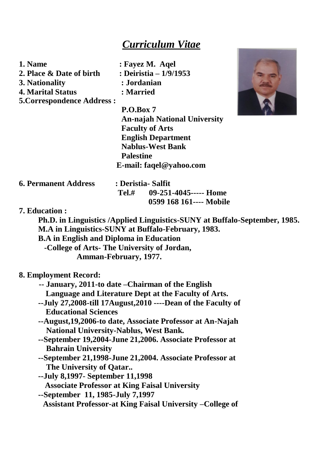# *Curriculum Vitae*

| 1. Name                           | : Fayez M. Aqel                     |  |
|-----------------------------------|-------------------------------------|--|
| 2. Place & Date of birth          | : Deiristia – 1/9/1953              |  |
| 3. Nationality                    | : Jordanian                         |  |
| <b>4. Marital Status</b>          | : Married                           |  |
| <b>5. Correspondence Address:</b> |                                     |  |
|                                   | P.O.Box 7                           |  |
|                                   | <b>An-najah National University</b> |  |
|                                   | <b>Faculty of Arts</b>              |  |
|                                   | <b>English Department</b>           |  |
|                                   | <b>Nablus-West Bank</b>             |  |
|                                   | Palestine                           |  |

 **E-mai[l: faqel@yahoo.com](mailto:faqel@yahoo.com) 6. Permanent Address : Deristia- Salfit Tel.# 09-251-4045----- Home 0599 168 161---- Mobile**

# **7. Education :**

**Ph.D. in Linguistics /Applied Linguistics-SUNY at Buffalo-September, 1985. M.A in Linguistics-SUNY at Buffalo-February, 1983.**

**B.A in English and Diploma in Education**

**-College of Arts- The University of Jordan,** 

**Amman-February, 1977.**

### **8. Employment Record:**

- **-- January, 2011-to date –Chairman of the English Language and Literature Dept at the Faculty of Arts.**
- **--July 27,2008-till 17August,2010 ----Dean of the Faculty of Educational Sciences**
- **--August,19,2006-to date, Associate Professor at An-Najah National University-Nablus, West Bank.**
- **--September 19,2004-June 21,2006. Associate Professor at Bahrain University**
- **--September 21,1998-June 21,2004. Associate Professor at The University of Qatar..**
- **--July 8,1997- September 11,1998 Associate Professor at King Faisal University**
- **--September 11, 1985-July 7,1997 Assistant Professor-at King Faisal University –College of**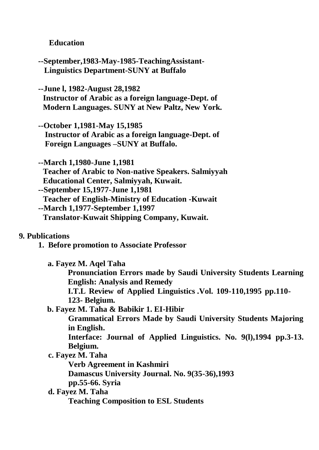# **Education**

- **--September,1983-May-1985-TeachingAssistant-Linguistics Department-SUNY at Buffalo**
- **--June l, 1982-August 28,1982 Instructor of Arabic as a foreign language-Dept. of Modern Languages. SUNY at New Paltz, New York.**
- **--October 1,1981-May 15,1985 Instructor of Arabic as a foreign language-Dept. of Foreign Languages –SUNY at Buffalo.**
- **--March 1,1980-June 1,1981 Teacher of Arabic to Non-native Speakers. Salmiyyah Educational Center, Salmiyyah, Kuwait.**
- **--September 15,1977-June 1,1981**
- **Teacher of English-Ministry of Education -Kuwait**
- **--March 1,1977-September 1,1997**
	- **Translator-Kuwait Shipping Company, Kuwait.**

# **9***.* **Publications**

- **1. Before promotion to Associate Professor**
	- **a. Fayez M. Aqel Taha**
		- **Pronunciation Errors made by Saudi University Students Learning English: Analysis and Remedy**
		- **I.T.L Review of Applied Linguistics .Vol. 109-110,1995 pp.110- 123- Belgium.**
	- **b. Fayez M. Taha & Babikir 1. EI-Hibir**
		- **Grammatical Errors Made by Saudi University Students Majoring in English.**
		- **Interface: Journal of Applied Linguistics. No. 9(l),1994 pp.3-13. Belgium.**
	- **c. Fayez M. Taha**
		- **Verb Agreement in Kashmiri**
		- **Damascus University Journal. No. 9(35-36),1993**
		- **pp.55-66. Syria**
	- **d. Fayez M. Taha**
		- **Teaching Composition to ESL Students**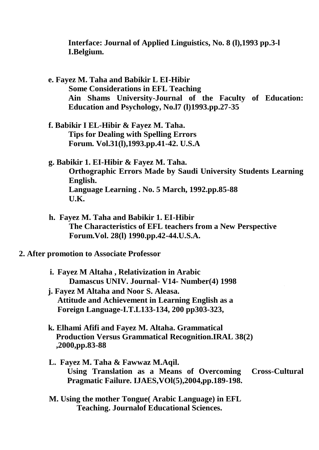**Interface: Journal of Applied Linguistics, No. 8 (l),1993 pp.3-l I.Belgium.**

- **e. Fayez M. Taha and Babikir L EI-Hibir Some Considerations in EFL Teaching Ain Shams University-Journal of the Faculty of Education: Education and Psychology, No.l7 (l)1993.pp.27-35**
- **f. Babikir I EL-Hibir & Fayez M. Taha. Tips for Dealing with Spelling Errors Forum. Vol.31(l),1993.pp.41-42. U.S.A**
- **g. Babikir 1. EI-Hibir & Fayez M. Taha. Orthographic Errors Made by Saudi University Students Learning English. Language Learning . No. 5 March, 1992.pp.85-88 U.K.**
- **h. Fayez M. Taha and Babikir 1. EI-Hibir The Characteristics of EFL teachers from a New Perspective Forum.Vol. 28(l) 1990.pp.42-44.U.S.A.**
- **2. After promotion to Associate Professor**
	- **i. Fayez M Altaha , Relativization in Arabic Damascus UNIV. Journal- V14- Number(4) 1998**
	- **j. Fayez M Altaha and Noor S. Aleasa. Attitude and Achievement in Learning English as a Foreign Language-I.T.L133-134, 200 pp303-323,**
	- **k. Elhami Afifi and Fayez M. Altaha. Grammatical Production Versus Grammatical Recognition.IRAL 38(2) ,2000,pp.83-88**
	- **L. Fayez M. Taha & Fawwaz M.Aqil. Using Translation as a Means of Overcoming Cross-Cultural Pragmatic Failure. IJAES,VOl(5),2004,pp.189-198.**
	- **M. Using the mother Tongue( Arabic Language) in EFL Teaching. Journalof Educational Sciences.**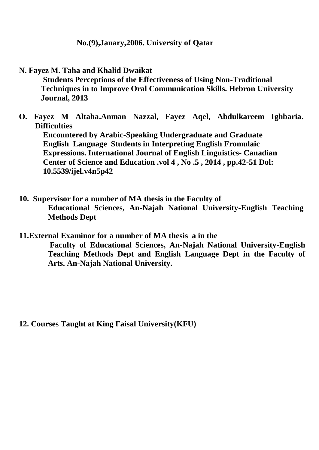# **No.(9),Janary,2006. University of Qatar**

**N. Fayez M. Taha and Khalid Dwaikat**

**Students Perceptions of the Effectiveness of Using Non-Traditional Techniques in to Improve Oral Communication Skills. Hebron University Journal, 2013**

**O. Fayez M Altaha.Anman Nazzal, Fayez Aqel, Abdulkareem Ighbaria. Difficulties**

**Encountered by Arabic-Speaking Undergraduate and Graduate English Language Students in Interpreting English Fromulaic Expressions. International Journal of English Linguistics- Canadian Center of Science and Education .vol 4 , No .5 , 2014 , pp.42-51 Dol: 10.5539/ijel.v4n5p42**

**10. Supervisor for a number of MA thesis in the Faculty of Educational Sciences, An-Najah National University-English Teaching Methods Dept**

**11.External Examinor for a number of MA thesis a in the Faculty of Educational Sciences, An-Najah National University-English Teaching Methods Dept and English Language Dept in the Faculty of Arts. An-Najah National University.**

**12. Courses Taught at King Faisal University(KFU)**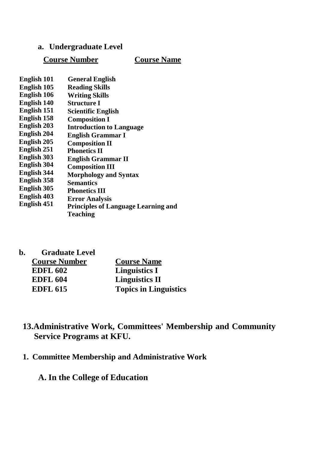- **a. Undergraduate Level**
	- **Course Number Course Name**

| <b>English 101</b> | <b>General English</b>                     |
|--------------------|--------------------------------------------|
| English 105        | <b>Reading Skills</b>                      |
| English 106        | <b>Writing Skills</b>                      |
| <b>English 140</b> | <b>Structure I</b>                         |
| English 151        | <b>Scientific English</b>                  |
| English 158        | <b>Composition I</b>                       |
| <b>English 203</b> | <b>Introduction to Language</b>            |
| <b>English 204</b> | <b>English Grammar I</b>                   |
| <b>English 205</b> | <b>Composition II</b>                      |
| English 251        | <b>Phonetics II</b>                        |
| <b>English 303</b> | <b>English Grammar II</b>                  |
| <b>English 304</b> | <b>Composition III</b>                     |
| <b>English 344</b> | <b>Morphology and Syntax</b>               |
| English 358        | <b>Semantics</b>                           |
| <b>English 305</b> | <b>Phonetics III</b>                       |
| <b>English 403</b> | <b>Error Analysis</b>                      |
| English 451        | <b>Principles of Language Learning and</b> |
|                    | <b>Teaching</b>                            |
|                    |                                            |

| h. | <b>Graduate Level</b> |                       |
|----|-----------------------|-----------------------|
|    | <b>Course Number</b>  | <b>Course Name</b>    |
|    | <b>EDFL 602</b>       | Linguistics I         |
|    | <b>EDFL 604</b>       | <b>Linguistics II</b> |

# **13.Administrative Work, Committees' Membership and Community Service Programs at KFU.**

**1. Committee Membership and Administrative Work**

**EDFL 615 Topics in Linguistics**

**A. In the College of Education**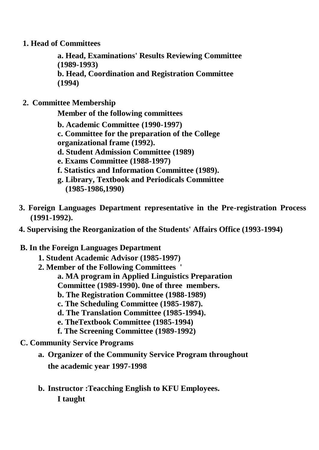**1. Head of Committees**

**a. Head, Examinations' Results Reviewing Committee (1989-1993) b. Head, Coordination and Registration Committee (1994)**

**2. Committee Membership**

**Member of the following committees** 

- **b. Academic Committee (1990-1997)**
- **c. Committee for the preparation of the College**
- **organizational frame (1992).**
- **d. Student Admission Committee (1989)**
- **e. Exams Committee (1988-1997)**
- **f. Statistics and Information Committee (1989).**
- **g. Library, Textbook and Periodicals Committee (1985-1986,1990)**
- **3. Foreign Languages Department representative in the Pre-registration Process (1991-1992).**
- **4. Supervising the Reorganization of the Students' Affairs Office (1993-1994)**
- **B. In the Foreign Languages Department**
	- **1. Student Academic Advisor (1985-1997)**
	- **2. Member of the Following Committees '**
		- **a. MA program in Applied Linguistics Preparation**
		- **Committee (1989-1990). 0ne of three members.**
		- **b. The Registration Committee (1988-1989)**
		- **c. The Scheduling Committee (1985-1987).**
		- **d. The Translation Committee (1985-1994).**
		- **e. TheTextbook Committee (1985-1994)**
		- **f. The Screening Committee (1989-1992)**
- **C. Community Service Programs**
	- **a. Organizer of the Community Service Program throughout the academic year 1997-1998**
	- **b. Instructor :Teacching English to KFU Employees. I taught**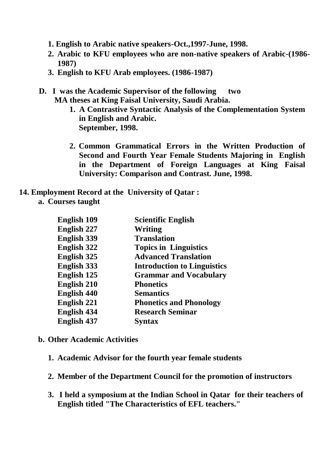- **1. English to Arabic native speakers-Oct.,1997-June, 1998.**
- **2. Arabic to KFU employees who are non-native speakers of Arabic-(1986- 1987)**
- **3. English to KFU Arab employees. (1986-1987)**
- **D. I was the Academic Supervisor of the following two MA theses at King Faisal University, Saudi Arabia.**
	- **1. A Contrastive Syntactic Analysis of the Complementation System in English and Arabic. September, 1998.**
	- **2. Common Grammatical Errors in the Written Production of Second and Fourth Year Female Students Majoring in English in the Department of Foreign Languages at King Faisal University: Comparison and Contrast. June, 1998.**
- **14. Employment Record at the University of Qatar :**
	- **a. Courses taught**

| <b>English 109</b> | <b>Scientific English</b>          |
|--------------------|------------------------------------|
| <b>English 227</b> | Writing                            |
| <b>English 339</b> | <b>Translation</b>                 |
| <b>English 322</b> | <b>Topics in Linguistics</b>       |
| <b>English 325</b> | <b>Advanced Translation</b>        |
| <b>English 333</b> | <b>Introduction to Linguistics</b> |
| <b>English 125</b> | <b>Grammar and Vocabulary</b>      |
| <b>English 210</b> | <b>Phonetics</b>                   |
| <b>English 440</b> | <b>Semantics</b>                   |
| <b>English 221</b> | <b>Phonetics and Phonology</b>     |
| <b>English 434</b> | <b>Research Seminar</b>            |
| <b>English 437</b> | Syntax                             |

- **b. Other Academic Activities**
	- **1. Academic Advisor for the fourth year female students**
	- **2. Member of the Department Council for the promotion of instructors**
	- **3. I held a symposium at the Indian School in Qatar for their teachers of English titled "The Characteristics of EFL teachers."**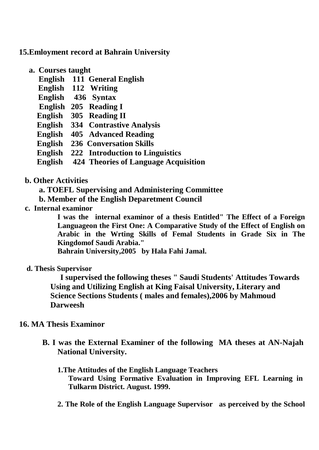# **15.Emloyment record at Bahrain University**

- **a. Courses taught**
	- **English 111 General English**
	- **English 112 Writing**
	- **English 436 Syntax**
	- **English 205 Reading I**
	- **English 305 Reading II**
	- **English 334 Contrastive Analysis**
	- **English 405 Advanced Reading**
	- **English 236 Conversation Skills**
	- **English 222 Introduction to Linguistics**
	- **English 424 Theories of Language Acquisition**

# **b. Other Activities**

- **a. TOEFL Supervising and Administering Committee**
- **b. Member of the English Deparetment Council**
- **c. Internal examinor**

**I was the internal examinor of a thesis Entitled" The Effect of a Foreign Languageon the First One: A Comparative Study of the Effect of English on Arabic in the Wrting Skills of Femal Students in Grade Six in The Kingdomof Saudi Arabia."**

**Bahrain University,2005 by Hala Fahi Jamal.**

**d. Thesis Supervisor**

**I supervised the following theses " Saudi Students' Attitudes Towards Using and Utilizing English at King Faisal University, Literary and Science Sections Students ( males and females),2006 by Mahmoud Darweesh**

### **16. MA Thesis Examinor**

- **B. I was the External Examiner of the following MA theses at AN-Najah National University.**
	- **1.The Attitudes of the English Language Teachers Toward Using Formative Evaluation in Improving EFL Learning in Tulkarm District. August. 1999.**
	- **2. The Role of the English Language Supervisor as perceived by the School**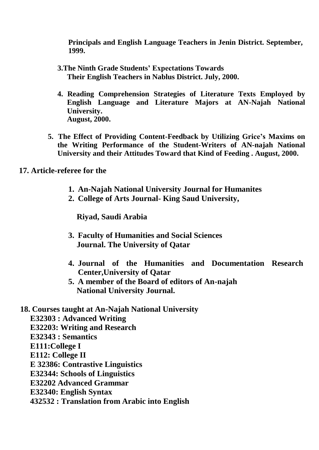**Principals and English Language Teachers in Jenin District. September, 1999.**

- **3.The Ninth Grade Students' Expectations Towards Their English Teachers in Nablus District. July, 2000.**
- **4. Reading Comprehension Strategies of Literature Texts Employed by English Language and Literature Majors at AN-Najah National University. August, 2000.**
- **5. The Effect of Providing Content-Feedback by Utilizing Grice's Maxims on the Writing Performance of the Student-Writers of AN-najah National University and their Attitudes Toward that Kind of Feeding . August, 2000.**

**17. Article-referee for the**

- **1. An-Najah National University Journal for Humanites**
- **2. College of Arts Journal- King Saud University,**

**Riyad, Saudi Arabia**

- **3. Faculty of Humanities and Social Sciences Journal. The University of Qatar**
- **4. Journal of the Humanities and Documentation Research Center,University of Qatar**
- **5. A member of the Board of editors of An-najah National University Journal.**
- **18. Courses taught at An-Najah National University**

**E32303 : Advanced Writing** 

**E32203: Writing and Research** 

**E32343 : Semantics** 

**E111:College I**

**E112: College II**

**E 32386: Contrastive Linguistics** 

**E32344: Schools of Linguistics** 

**E32202 Advanced Grammar** 

**E32340: English Syntax**

**432532 : Translation from Arabic into English**